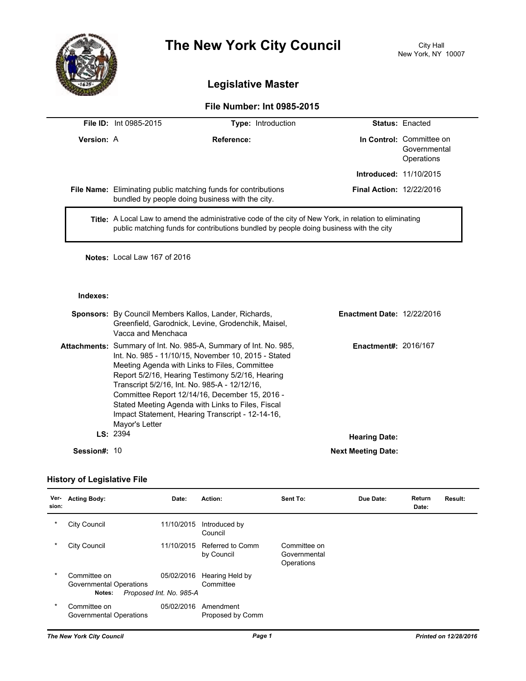

# **The New York City Council** City Hall

# **Legislative Master**

## **File Number: Int 0985-2015**

|                   | <b>File ID:</b> Int 0985-2015 | <b>Type:</b> Introduction                                                                                                                                                                                |                                 | <b>Status: Enacted</b>                                 |
|-------------------|-------------------------------|----------------------------------------------------------------------------------------------------------------------------------------------------------------------------------------------------------|---------------------------------|--------------------------------------------------------|
| <b>Version: A</b> |                               | Reference:                                                                                                                                                                                               |                                 | In Control: Committee on<br>Governmental<br>Operations |
|                   |                               |                                                                                                                                                                                                          | <b>Introduced: 11/10/2015</b>   |                                                        |
|                   |                               | File Name: Eliminating public matching funds for contributions<br>bundled by people doing business with the city.                                                                                        | <b>Final Action: 12/22/2016</b> |                                                        |
|                   |                               | <b>Title:</b> A Local Law to amend the administrative code of the city of New York, in relation to eliminating<br>public matching funds for contributions bundled by people doing business with the city |                                 |                                                        |

**Notes:** Local Law 167 of 2016

#### **Indexes:**

|              | <b>Sponsors:</b> By Council Members Kallos, Lander, Richards,<br>Greenfield, Garodnick, Levine, Grodenchik, Maisel,<br>Vacca and Menchaca                                                                                                                                                                                                                                                                                                                         | <b>Enactment Date: 12/22/2016</b> |                             |
|--------------|-------------------------------------------------------------------------------------------------------------------------------------------------------------------------------------------------------------------------------------------------------------------------------------------------------------------------------------------------------------------------------------------------------------------------------------------------------------------|-----------------------------------|-----------------------------|
|              | <b>Attachments:</b> Summary of Int. No. 985-A, Summary of Int. No. 985,<br>Int. No. 985 - 11/10/15, November 10, 2015 - Stated<br>Meeting Agenda with Links to Files, Committee<br>Report 5/2/16, Hearing Testimony 5/2/16, Hearing<br>Transcript 5/2/16, Int. No. 985-A - 12/12/16,<br>Committee Report 12/14/16, December 15, 2016 -<br>Stated Meeting Agenda with Links to Files, Fiscal<br>Impact Statement, Hearing Transcript - 12-14-16,<br>Mayor's Letter |                                   | <b>Enactment#: 2016/167</b> |
|              | LS: 2394                                                                                                                                                                                                                                                                                                                                                                                                                                                          | <b>Hearing Date:</b>              |                             |
| Session#: 10 |                                                                                                                                                                                                                                                                                                                                                                                                                                                                   | <b>Next Meeting Date:</b>         |                             |

### **History of Legislative File**

| Ver-<br>sion: | <b>Acting Body:</b>                               | Date:                                 | Action:                        | Sent To:                                   | Due Date: | Return<br>Date: | Result: |
|---------------|---------------------------------------------------|---------------------------------------|--------------------------------|--------------------------------------------|-----------|-----------------|---------|
| *             | City Council                                      | 11/10/2015                            | Introduced by<br>Council       |                                            |           |                 |         |
| $\ast$        | City Council                                      | 11/10/2015                            | Referred to Comm<br>by Council | Committee on<br>Governmental<br>Operations |           |                 |         |
| $\ast$        | Committee on<br>Governmental Operations<br>Notes: | 05/02/2016<br>Proposed Int. No. 985-A | Hearing Held by<br>Committee   |                                            |           |                 |         |
| $\ast$        | Committee on<br>Governmental Operations           | 05/02/2016                            | Amendment<br>Proposed by Comm  |                                            |           |                 |         |